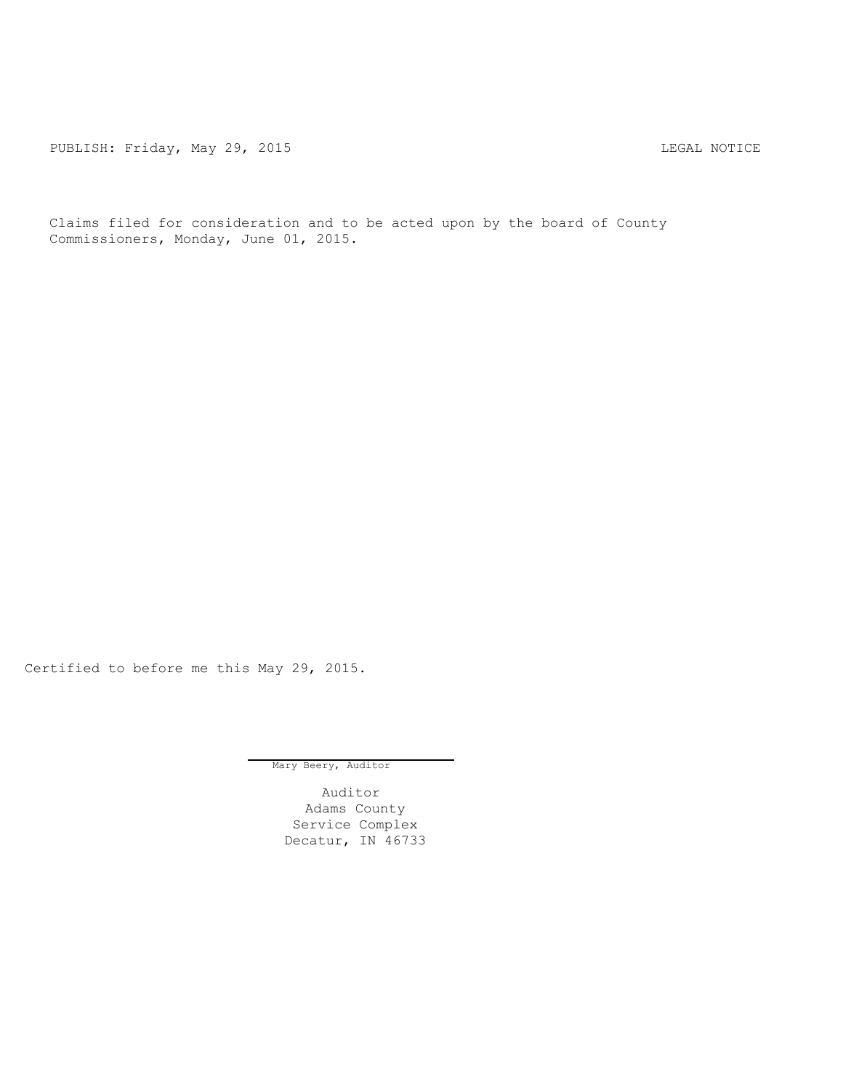PUBLISH: Friday, May 29, 2015 CHA CHANGE AND THE REGAL NOTICE

Claims filed for consideration and to be acted upon by the board of County Commissioners, Monday, June 01, 2015.

Certified to before me this May 29, 2015.

Mary Beery, Auditor

Auditor Adams County Service Complex Decatur, IN 46733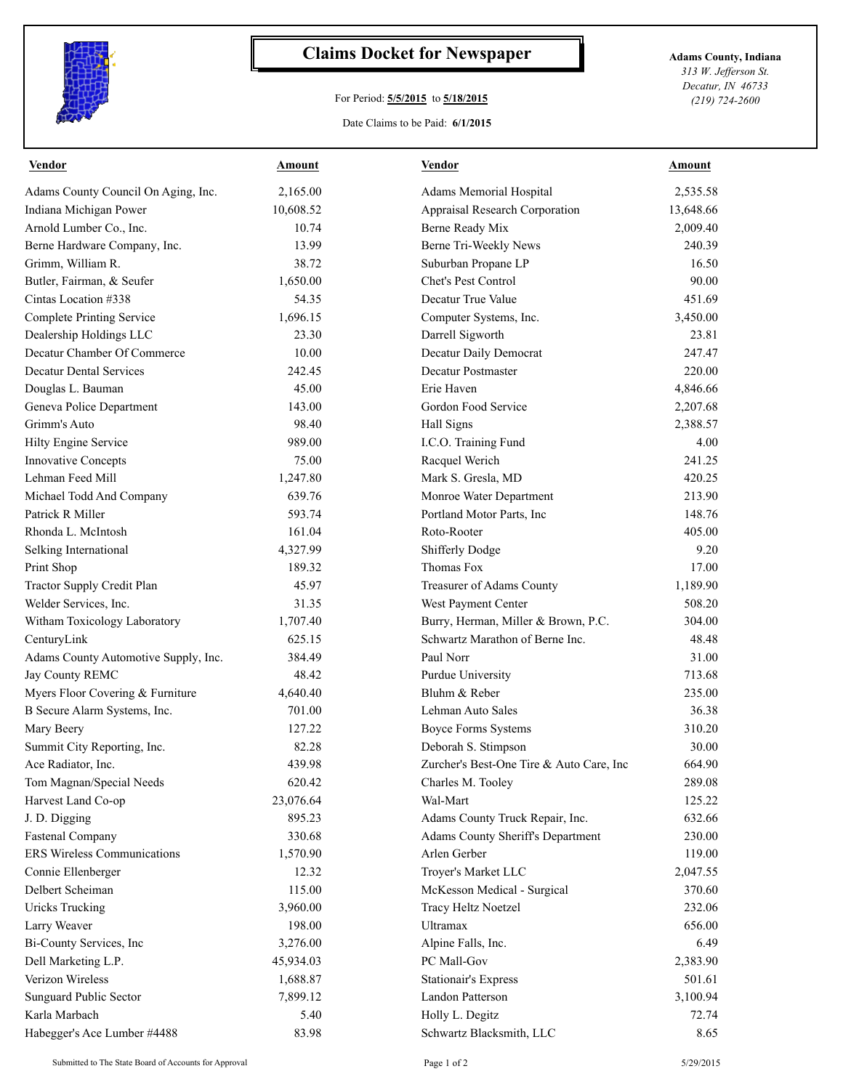

## **Claims Docket for Newspaper Adams County, Indiana**

## For Period: **5/5/2015** to **5/18/2015**

*313 W. Jefferson St. Decatur, IN 46733 (219) 724-2600*

## Date Claims to be Paid: **6/1/2015**

| <b>Vendor</b>                        | Amount    | Vendor                                    | Amount    |
|--------------------------------------|-----------|-------------------------------------------|-----------|
| Adams County Council On Aging, Inc.  | 2,165.00  | Adams Memorial Hospital                   | 2,535.58  |
| Indiana Michigan Power               | 10,608.52 | Appraisal Research Corporation            | 13,648.66 |
| Arnold Lumber Co., Inc.              | 10.74     | Berne Ready Mix                           | 2,009.40  |
| Berne Hardware Company, Inc.         | 13.99     | Berne Tri-Weekly News                     | 240.39    |
| Grimm, William R.                    | 38.72     | Suburban Propane LP                       | 16.50     |
| Butler, Fairman, & Seufer            | 1,650.00  | Chet's Pest Control                       | 90.00     |
| Cintas Location #338                 | 54.35     | Decatur True Value                        | 451.69    |
| <b>Complete Printing Service</b>     | 1,696.15  | Computer Systems, Inc.                    | 3,450.00  |
| Dealership Holdings LLC              | 23.30     | Darrell Sigworth                          | 23.81     |
| Decatur Chamber Of Commerce          | 10.00     | Decatur Daily Democrat                    | 247.47    |
| <b>Decatur Dental Services</b>       | 242.45    | Decatur Postmaster                        | 220.00    |
| Douglas L. Bauman                    | 45.00     | Erie Haven                                | 4,846.66  |
| Geneva Police Department             | 143.00    | Gordon Food Service                       | 2,207.68  |
| Grimm's Auto                         | 98.40     | Hall Signs                                | 2,388.57  |
| Hilty Engine Service                 | 989.00    | I.C.O. Training Fund                      | 4.00      |
| <b>Innovative Concepts</b>           | 75.00     | Racquel Werich                            | 241.25    |
| Lehman Feed Mill                     | 1,247.80  | Mark S. Gresla, MD                        | 420.25    |
| Michael Todd And Company             | 639.76    | Monroe Water Department                   | 213.90    |
| Patrick R Miller                     | 593.74    | Portland Motor Parts, Inc                 | 148.76    |
| Rhonda L. McIntosh                   | 161.04    | Roto-Rooter                               | 405.00    |
| Selking International                | 4,327.99  | <b>Shifferly Dodge</b>                    | 9.20      |
| Print Shop                           | 189.32    | Thomas Fox                                | 17.00     |
| Tractor Supply Credit Plan           | 45.97     | Treasurer of Adams County                 | 1,189.90  |
| Welder Services, Inc.                | 31.35     | West Payment Center                       | 508.20    |
| Witham Toxicology Laboratory         | 1,707.40  | Burry, Herman, Miller & Brown, P.C.       | 304.00    |
| CenturyLink                          | 625.15    | Schwartz Marathon of Berne Inc.           | 48.48     |
| Adams County Automotive Supply, Inc. | 384.49    | Paul Norr                                 | 31.00     |
| Jay County REMC                      | 48.42     | Purdue University                         | 713.68    |
| Myers Floor Covering & Furniture     | 4,640.40  | Bluhm & Reber                             | 235.00    |
| B Secure Alarm Systems, Inc.         | 701.00    | Lehman Auto Sales                         | 36.38     |
| Mary Beery                           | 127.22    | <b>Boyce Forms Systems</b>                | 310.20    |
| Summit City Reporting, Inc.          | 82.28     | Deborah S. Stimpson                       | 30.00     |
| Ace Radiator. Inc.                   | 439.98    | Zurcher's Best-One Tire & Auto Care, Inc. | 664.90    |
| Tom Magnan/Special Needs             | 620.42    | Charles M. Tooley                         | 289.08    |
| Harvest Land Co-op                   | 23,076.64 | Wal-Mart                                  | 125.22    |
| J. D. Digging                        | 895.23    | Adams County Truck Repair, Inc.           | 632.66    |
| <b>Fastenal Company</b>              | 330.68    | Adams County Sheriff's Department         | 230.00    |
| ERS Wireless Communications          | 1,570.90  | Arlen Gerber                              | 119.00    |
| Connie Ellenberger                   | 12.32     | Troyer's Market LLC                       | 2,047.55  |
| Delbert Scheiman                     | 115.00    | McKesson Medical - Surgical               | 370.60    |
| <b>Uricks Trucking</b>               | 3,960.00  | Tracy Heltz Noetzel                       | 232.06    |
| Larry Weaver                         | 198.00    | Ultramax                                  | 656.00    |
| Bi-County Services, Inc              | 3,276.00  | Alpine Falls, Inc.                        | 6.49      |
| Dell Marketing L.P.                  | 45,934.03 | PC Mall-Gov                               | 2,383.90  |
| Verizon Wireless                     | 1,688.87  | <b>Stationair's Express</b>               | 501.61    |
| Sunguard Public Sector               | 7,899.12  | Landon Patterson                          | 3,100.94  |
| Karla Marbach                        | 5.40      | Holly L. Degitz                           | 72.74     |
| Habegger's Ace Lumber #4488          | 83.98     | Schwartz Blacksmith, LLC                  | 8.65      |
|                                      |           |                                           |           |